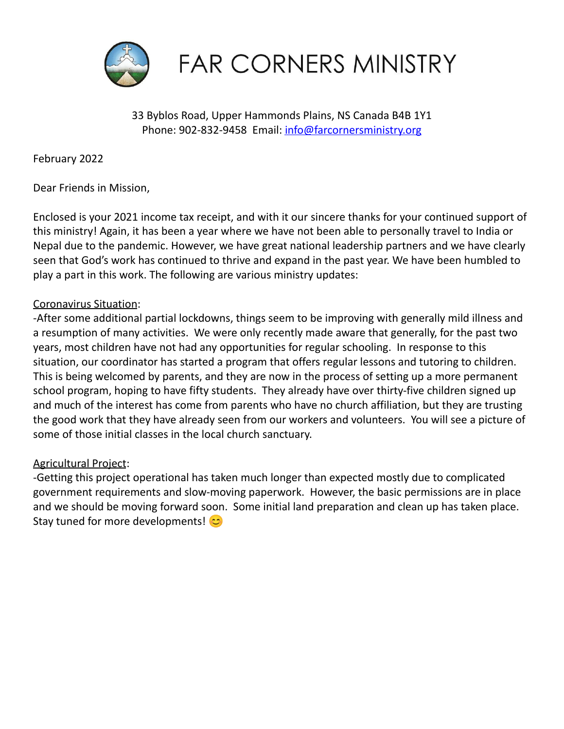

# **FAR CORNERS MINISTRY**

# 33 Byblos Road, Upper Hammonds Plains, NS Canada B4B 1Y1 Phone: 902-832-9458 Email: [info@farcornersministry.org](mailto:info@farcornersministry.org)

February 2022

Dear Friends in Mission,

Enclosed is your 2021 income tax receipt, and with it our sincere thanks for your continued support of this ministry! Again, it has been a year where we have not been able to personally travel to India or Nepal due to the pandemic. However, we have great national leadership partners and we have clearly seen that God's work has continued to thrive and expand in the past year. We have been humbled to play a part in this work. The following are various ministry updates:

### Coronavirus Situation:

-After some additional partial lockdowns, things seem to be improving with generally mild illness and a resumption of many activities. We were only recently made aware that generally, for the past two years, most children have not had any opportunities for regular schooling. In response to this situation, our coordinator has started a program that offers regular lessons and tutoring to children. This is being welcomed by parents, and they are now in the process of setting up a more permanent school program, hoping to have fifty students. They already have over thirty-five children signed up and much of the interest has come from parents who have no church affiliation, but they are trusting the good work that they have already seen from our workers and volunteers. You will see a picture of some of those initial classes in the local church sanctuary.

### Agricultural Project:

-Getting this project operational has taken much longer than expected mostly due to complicated government requirements and slow-moving paperwork. However, the basic permissions are in place and we should be moving forward soon. Some initial land preparation and clean up has taken place. Stay tuned for more developments!  $\circledcirc$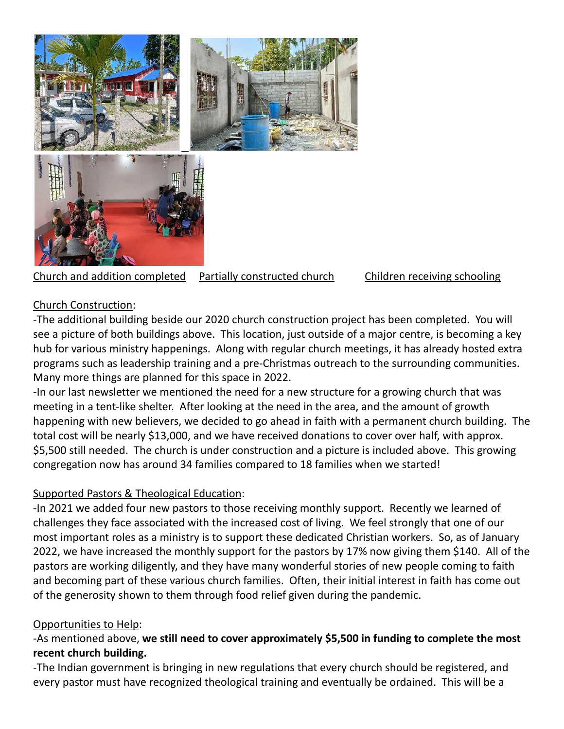



Church and addition completed Partially constructed church Children receiving schooling

# Church Construction:

-The additional building beside our 2020 church construction project has been completed. You will see a picture of both buildings above. This location, just outside of a major centre, is becoming a key hub for various ministry happenings. Along with regular church meetings, it has already hosted extra programs such as leadership training and a pre-Christmas outreach to the surrounding communities. Many more things are planned for this space in 2022.

-In our last newsletter we mentioned the need for a new structure for a growing church that was meeting in a tent-like shelter. After looking at the need in the area, and the amount of growth happening with new believers, we decided to go ahead in faith with a permanent church building. The total cost will be nearly \$13,000, and we have received donations to cover over half, with approx. \$5,500 still needed. The church is under construction and a picture is included above. This growing congregation now has around 34 families compared to 18 families when we started!

# Supported Pastors & Theological Education:

-In 2021 we added four new pastors to those receiving monthly support. Recently we learned of challenges they face associated with the increased cost of living. We feel strongly that one of our most important roles as a ministry is to support these dedicated Christian workers. So, as of January 2022, we have increased the monthly support for the pastors by 17% now giving them \$140. All of the pastors are working diligently, and they have many wonderful stories of new people coming to faith and becoming part of these various church families. Often, their initial interest in faith has come out of the generosity shown to them through food relief given during the pandemic.

### Opportunities to Help:

# -As mentioned above, **we still need to cover approximately \$5,500 in funding to complete the most recent church building.**

-The Indian government is bringing in new regulations that every church should be registered, and every pastor must have recognized theological training and eventually be ordained. This will be a